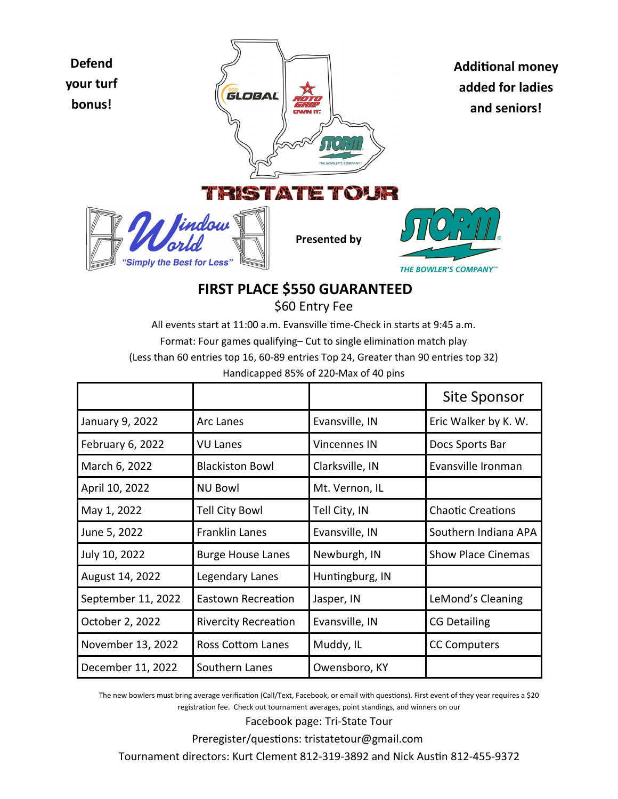

## **FIRST PLACE \$550 GUARANTEED** \$60 Entry Fee

All events start at 11:00 a.m. Evansville time-Check in starts at 9:45 a.m. Format: Four games qualifying– Cut to single elimination match play (Less than 60 entries top 16, 60-89 entries Top 24, Greater than 90 entries top 32) Handicapped 85% of 220-Max of 40 pins

|                    |                             |                 | Site Sponsor              |
|--------------------|-----------------------------|-----------------|---------------------------|
| January 9, 2022    | Arc Lanes                   | Evansville, IN  | Eric Walker by K. W.      |
| February 6, 2022   | VU Lanes                    | Vincennes IN    | Docs Sports Bar           |
| March 6, 2022      | <b>Blackiston Bowl</b>      | Clarksville, IN | Evansville Ironman        |
| April 10, 2022     | <b>NU Bowl</b>              | Mt. Vernon, IL  |                           |
| May 1, 2022        | <b>Tell City Bowl</b>       | Tell City, IN   | <b>Chaotic Creations</b>  |
| June 5, 2022       | <b>Franklin Lanes</b>       | Evansville, IN  | Southern Indiana APA      |
| July 10, 2022      | <b>Burge House Lanes</b>    | Newburgh, IN    | <b>Show Place Cinemas</b> |
| August 14, 2022    | Legendary Lanes             | Huntingburg, IN |                           |
| September 11, 2022 | Eastown Recreation          | Jasper, IN      | LeMond's Cleaning         |
| October 2, 2022    | <b>Rivercity Recreation</b> | Evansville, IN  | <b>CG Detailing</b>       |
| November 13, 2022  | Ross Cottom Lanes           | Muddy, IL       | <b>CC Computers</b>       |
| December 11, 2022  | Southern Lanes              | Owensboro, KY   |                           |

The new bowlers must bring average verification (Call/Text, Facebook, or email with questions). First event of they year requires a \$20 registration fee. Check out tournament averages, point standings, and winners on our

Facebook page: Tri-State Tour

Preregister/questions: tristatetour@gmail.com

Tournament directors: Kurt Clement 812-319-3892 and Nick Austin 812-455-9372